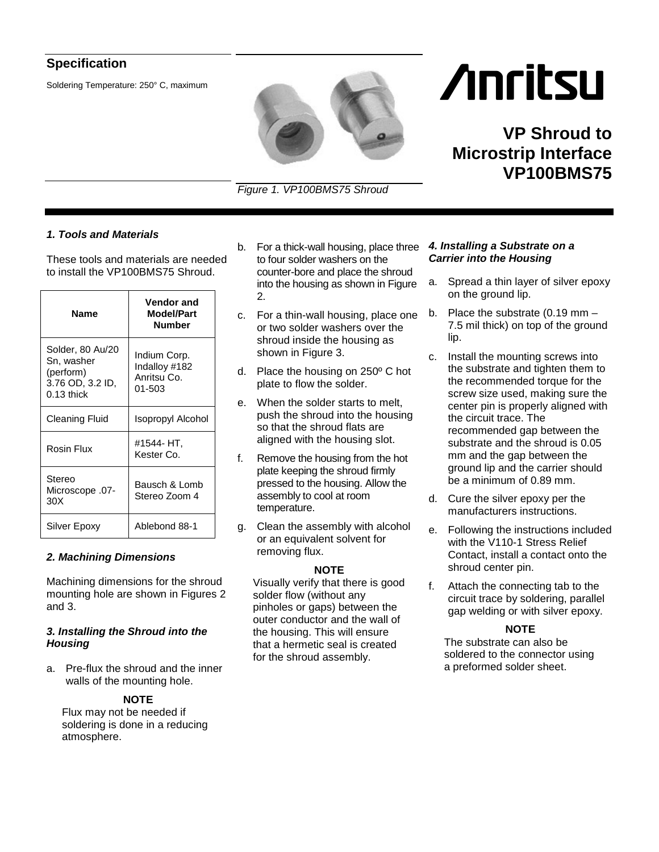# **Specification**

Soldering Temperature: 250° C, maximum

*Figure 1. VP100BMS75 Shroud*

# *1. Tools and Materials*

These tools and materials are needed to install the VP100BMS75 Shroud.

| <b>Name</b>                                                                     | Vendor and<br>Model/Part<br><b>Number</b>                  |
|---------------------------------------------------------------------------------|------------------------------------------------------------|
| Solder, 80 Au/20<br>Sn, washer<br>(perform)<br>3.76 OD, 3.2 ID,<br>$0.13$ thick | Indium Corp.<br>Indalloy #182<br>Anritsu Co.<br>$01 - 503$ |
| Cleaning Fluid                                                                  | Isopropyl Alcohol                                          |
| Rosin Flux                                                                      | #1544- HT.<br>Kester Co.                                   |
| Stereo<br>-07. Microscope<br>30 <sub>X</sub>                                    | Bausch & Lomb<br>Stereo Zoom 4                             |
| Silver Epoxy                                                                    | Ablebond 88-1                                              |

# *2. Machining Dimensions*

Machining dimensions for the shroud mounting hole are shown in Figures 2 and 3.

### *3. Installing the Shroud into the Housing*

a. Pre-flux the shroud and the inner walls of the mounting hole.

# **NOTE**

Flux may not be needed if soldering is done in a reducing atmosphere.

- b. For a thick-wall housing, place three to four solder washers on the counter-bore and place the shroud into the housing as shown in Figure 2.
- c. For a thin-wall housing, place one or two solder washers over the shroud inside the housing as shown in Figure 3.
- d. Place the housing on 250º C hot plate to flow the solder.
- e. When the solder starts to melt, push the shroud into the housing so that the shroud flats are aligned with the housing slot.
- f. Remove the housing from the hot plate keeping the shroud firmly pressed to the housing. Allow the assembly to cool at room temperature.
- g. Clean the assembly with alcohol or an equivalent solvent for removing flux.

# **NOTE**

Visually verify that there is good solder flow (without any pinholes or gaps) between the outer conductor and the wall of the housing. This will ensure that a hermetic seal is created for the shroud assembly.

#### *4. Installing a Substrate on a Carrier into the Housing*

a. Spread a thin layer of silver epoxy on the ground lip.

**/inritsu** 

**Microstrip Interface** 

**VP Shroud to** 

**VP100BMS75** 

- b. Place the substrate (0.19 mm 7.5 mil thick) on top of the ground lip.
- c. Install the mounting screws into the substrate and tighten them to the recommended torque for the screw size used, making sure the center pin is properly aligned with the circuit trace. The recommended gap between the substrate and the shroud is 0.05 mm and the gap between the ground lip and the carrier should be a minimum of 0.89 mm.
- d. Cure the silver epoxy per the manufacturers instructions.
- e. Following the instructions included with the V110-1 Stress Relief Contact, install a contact onto the shroud center pin.
- f. Attach the connecting tab to the circuit trace by soldering, parallel gap welding or with silver epoxy.

# **NOTE**

The substrate can also be soldered to the connector using a preformed solder sheet.